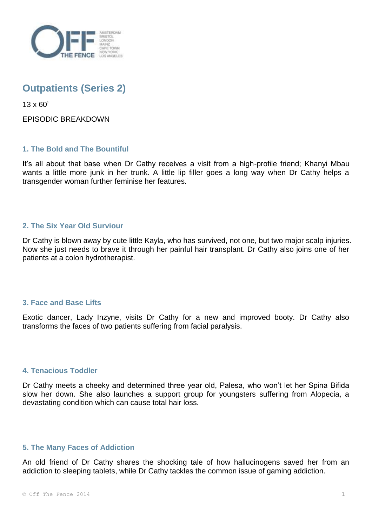

# **Outpatients (Series 2)**

13 x 60'

EPISODIC BREAKDOWN

# **1. The Bold and The Bountiful**

It's all about that base when Dr Cathy receives a visit from a high-profile friend; Khanyi Mbau wants a little more junk in her trunk. A little lip filler goes a long way when Dr Cathy helps a transgender woman further feminise her features.

# **2. The Six Year Old Surviour**

Dr Cathy is blown away by cute little Kayla, who has survived, not one, but two major scalp injuries. Now she just needs to brave it through her painful hair transplant. Dr Cathy also joins one of her patients at a colon hydrotherapist.

## **3. Face and Base Lifts**

Exotic dancer, Lady Inzyne, visits Dr Cathy for a new and improved booty. Dr Cathy also transforms the faces of two patients suffering from facial paralysis.

## **4. Tenacious Toddler**

Dr Cathy meets a cheeky and determined three year old, Palesa, who won't let her Spina Bifida slow her down. She also launches a support group for youngsters suffering from Alopecia, a devastating condition which can cause total hair loss.

## **5. The Many Faces of Addiction**

An old friend of Dr Cathy shares the shocking tale of how hallucinogens saved her from an addiction to sleeping tablets, while Dr Cathy tackles the common issue of gaming addiction.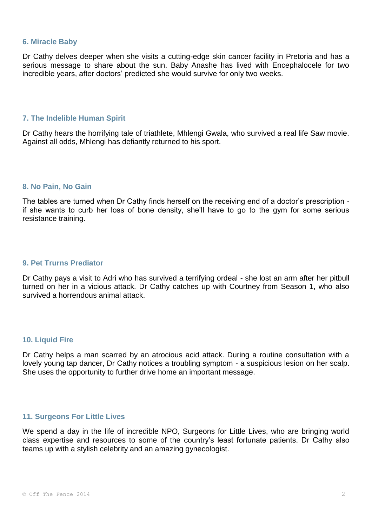#### **6. Miracle Baby**

Dr Cathy delves deeper when she visits a cutting-edge skin cancer facility in Pretoria and has a serious message to share about the sun. Baby Anashe has lived with Encephalocele for two incredible years, after doctors' predicted she would survive for only two weeks.

## **7. The Indelible Human Spirit**

Dr Cathy hears the horrifying tale of triathlete, Mhlengi Gwala, who survived a real life Saw movie. Against all odds, Mhlengi has defiantly returned to his sport.

#### **8. No Pain, No Gain**

The tables are turned when Dr Cathy finds herself on the receiving end of a doctor's prescription if she wants to curb her loss of bone density, she'll have to go to the gym for some serious resistance training.

#### **9. Pet Trurns Prediator**

Dr Cathy pays a visit to Adri who has survived a terrifying ordeal - she lost an arm after her pitbull turned on her in a vicious attack. Dr Cathy catches up with Courtney from Season 1, who also survived a horrendous animal attack.

## **10. Liquid Fire**

Dr Cathy helps a man scarred by an atrocious acid attack. During a routine consultation with a lovely young tap dancer, Dr Cathy notices a troubling symptom - a suspicious lesion on her scalp. She uses the opportunity to further drive home an important message.

# **11. Surgeons For Little Lives**

We spend a day in the life of incredible NPO, Surgeons for Little Lives, who are bringing world class expertise and resources to some of the country's least fortunate patients. Dr Cathy also teams up with a stylish celebrity and an amazing gynecologist.